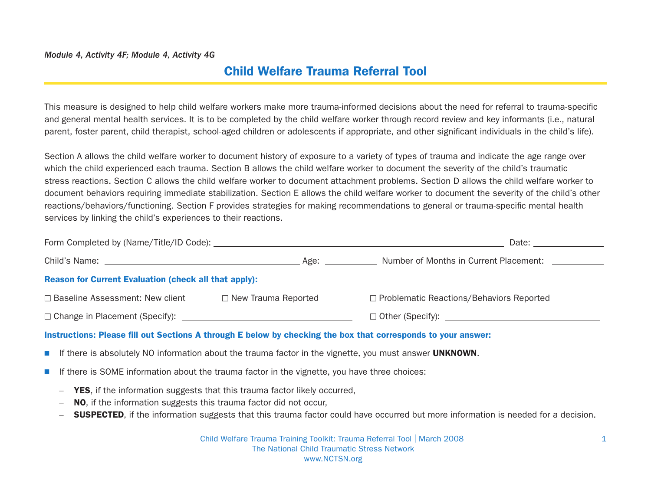#### Module 4, Activity 4F; Module 4, Activity 4G

# Child Welfare Trauma Referral Tool

This measure is designed to help child welfare workers make more trauma-informed decisions about the need for referral to trauma-specific and general mental health services. It is to be completed by the child welfare worker through record review and key informants (i.e., natural parent, foster parent, child therapist, school-aged children or adolescents if appropriate, and other significant individuals in the child's life).

Section A allows the child welfare worker to document history of exposure to a variety of types of trauma and indicate the age range over which the child experienced each trauma. Section B allows the child welfare worker to document the severity of the child's traumatic stress reactions. Section C allows the child welfare worker to document attachment problems. Section D allows the child welfare worker to document behaviors requiring immediate stabilization. Section E allows the child welfare worker to document the severity of the child's other reactions/behaviors/functioning. Section F provides strategies for making recommendations to general or trauma-specific mental health services by linking the child's experiences to their reactions.

|                                                              | Date: the contract of the contract of the contract of the contract of the contract of the contract of the contract of the contract of the contract of the contract of the contract of the contract of the contract of the cont |                                                             |
|--------------------------------------------------------------|--------------------------------------------------------------------------------------------------------------------------------------------------------------------------------------------------------------------------------|-------------------------------------------------------------|
|                                                              | Age: _____________                                                                                                                                                                                                             | Number of Months in Current Placement:                      |
| <b>Reason for Current Evaluation (check all that apply):</b> |                                                                                                                                                                                                                                |                                                             |
| □ Baseline Assessment: New client                            | $\Box$ New Trauma Reported                                                                                                                                                                                                     | □ Problematic Reactions/Behaviors Reported                  |
|                                                              |                                                                                                                                                                                                                                | □ Other (Specify): <u>_________________________________</u> |
|                                                              |                                                                                                                                                                                                                                |                                                             |

#### Instructions: Please fill out Sections A through E below by checking the box that corresponds to your answer:

- **N** If there is absolutely NO information about the trauma factor in the vignette, you must answer **UNKNOWN**.
- **N** If there is SOME information about the trauma factor in the vignette, you have three choices:
	- **YES**, if the information suggests that this trauma factor likely occurred,
	- NO, if the information suggests this trauma factor did not occur,
	- **SUSPECTED**, if the information suggests that this trauma factor could have occurred but more information is needed for a decision.

Child Welfare Trauma Training Toolkit: Trauma Referral Tool | March 2008 1 The National Child Traumatic Stress Network www.NCTSN.org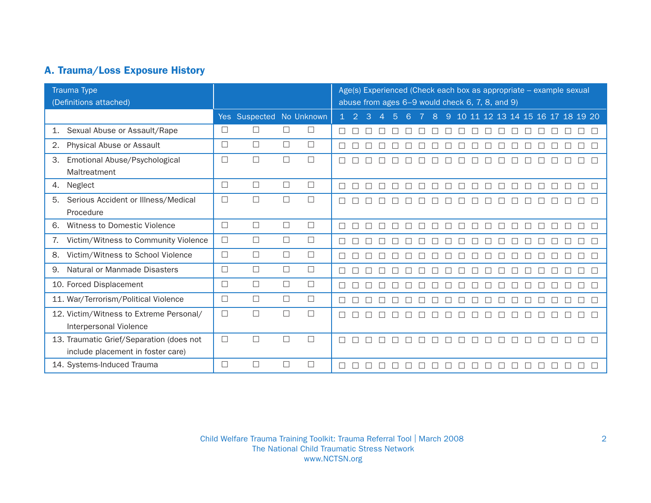## A. Trauma/Loss Exposure History

| Trauma Type<br>(Definitions attached)                                         |        | Age(s) Experienced (Check each box as appropriate - example sexual<br>abuse from ages 6-9 would check 6, 7, 8, and 9) |        |        |              |               |        |                |   |        |   |         |              |         |        |              |         |        |         |         |        |                                  |
|-------------------------------------------------------------------------------|--------|-----------------------------------------------------------------------------------------------------------------------|--------|--------|--------------|---------------|--------|----------------|---|--------|---|---------|--------------|---------|--------|--------------|---------|--------|---------|---------|--------|----------------------------------|
|                                                                               |        | Yes Suspected No Unknown                                                                                              |        |        | $\mathbf{1}$ | $\mathcal{P}$ | 3      | $\overline{A}$ | 5 | 6      |   | 8       | 9            |         |        |              |         |        |         |         |        | 10 11 12 13 14 15 16 17 18 19 20 |
| Sexual Abuse or Assault/Rape<br>$\mathbf{1}$ .                                | П      | □                                                                                                                     | $\Box$ | □      |              |               |        |                |   |        |   |         |              |         |        |              |         |        |         |         |        |                                  |
| Physical Abuse or Assault<br>2.                                               | $\Box$ | $\Box$                                                                                                                | $\Box$ | $\Box$ |              |               |        |                |   |        |   |         |              |         |        |              |         |        |         |         |        |                                  |
| 3.<br>Emotional Abuse/Psychological<br>Maltreatment                           | П      | $\Box$                                                                                                                | $\Box$ | $\Box$ | $\Box$       | $\Box$        |        | □              | г |        |   |         |              |         |        |              |         |        |         |         |        |                                  |
| Neglect<br>4.                                                                 | □      | $\Box$                                                                                                                | $\Box$ | $\Box$ | П            |               |        |                |   |        |   |         |              |         |        |              |         |        |         |         |        | П                                |
| 5.<br>Serious Accident or Illness/Medical<br>Procedure                        | П      | $\Box$                                                                                                                | П      | $\Box$ |              |               |        |                |   |        |   |         |              |         |        |              |         |        |         |         |        |                                  |
| Witness to Domestic Violence<br>6.                                            | □      | $\Box$                                                                                                                | $\Box$ | $\Box$ | $\Box$       | $\Box$        | $\Box$ | $\Box$         | П | $\Box$ | П | $\perp$ | $\mathbf{1}$ | $\perp$ | $\Box$ | $\mathbf{L}$ | $\perp$ | $\Box$ | $\perp$ | $\perp$ |        | П                                |
| Victim/Witness to Community Violence<br>7.                                    | □      | $\Box$                                                                                                                | $\Box$ | $\Box$ |              |               |        |                |   |        |   |         |              |         |        |              |         |        |         |         |        |                                  |
| 8.<br>Victim/Witness to School Violence                                       | П      | $\Box$                                                                                                                | $\Box$ | $\Box$ | П            |               |        |                |   |        |   |         |              |         |        |              |         |        |         |         |        |                                  |
| Natural or Manmade Disasters<br>9                                             | П      | $\Box$                                                                                                                | $\Box$ | $\Box$ |              |               |        |                |   |        |   |         |              |         |        |              |         |        |         |         |        |                                  |
| 10. Forced Displacement                                                       | □      | $\Box$                                                                                                                | $\Box$ | $\Box$ | П            |               |        |                |   |        |   |         |              |         |        |              |         |        |         |         |        |                                  |
| 11. War/Terrorism/Political Violence                                          | П      | $\Box$                                                                                                                | $\Box$ | $\Box$ | $\Box$       | $\Box$        |        |                | П |        |   |         |              |         | $\Box$ |              |         |        |         |         | $\Box$ | П                                |
| 12. Victim/Witness to Extreme Personal/<br>Interpersonal Violence             | П      | $\Box$                                                                                                                | $\Box$ | $\Box$ |              |               |        |                |   |        |   |         |              |         |        |              |         |        |         |         |        |                                  |
| 13. Traumatic Grief/Separation (does not<br>include placement in foster care) | П      | $\Box$                                                                                                                | П      | $\Box$ | П            |               |        |                |   |        |   |         |              |         |        |              |         |        |         |         |        |                                  |
| 14. Systems-Induced Trauma                                                    | $\Box$ | П                                                                                                                     | П      | П      |              |               |        |                |   |        |   |         |              |         |        |              |         |        |         |         |        |                                  |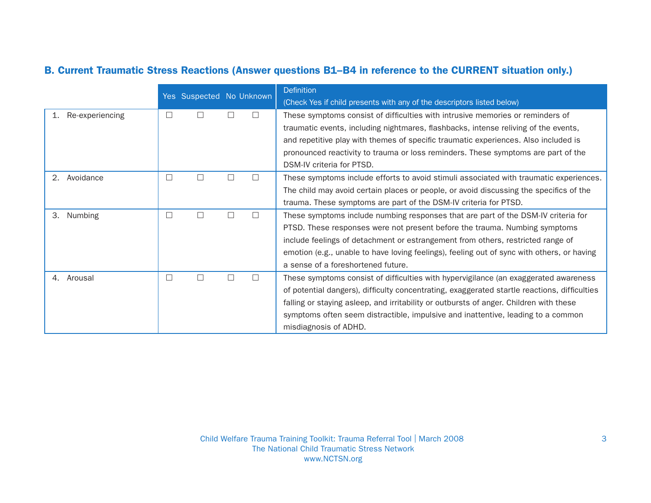## B. Current Traumatic Stress Reactions (Answer questions B1–B4 in reference to the CURRENT situation only.)

|                       |        | Yes Suspected No Unknown |              | <b>Definition</b><br>(Check Yes if child presents with any of the descriptors listed below)  |
|-----------------------|--------|--------------------------|--------------|----------------------------------------------------------------------------------------------|
| Re-experiencing<br>1. | □      |                          |              | These symptoms consist of difficulties with intrusive memories or reminders of               |
|                       |        |                          |              | traumatic events, including nightmares, flashbacks, intense reliving of the events,          |
|                       |        |                          |              | and repetitive play with themes of specific traumatic experiences. Also included is          |
|                       |        |                          |              | pronounced reactivity to trauma or loss reminders. These symptoms are part of the            |
|                       |        |                          |              | DSM-IV criteria for PTSD.                                                                    |
| 2. Avoidance          | $\Box$ | $\perp$                  | $\mathsf{L}$ | These symptoms include efforts to avoid stimuli associated with traumatic experiences.       |
|                       |        |                          |              | The child may avoid certain places or people, or avoid discussing the specifics of the       |
|                       |        |                          |              | trauma. These symptoms are part of the DSM-IV criteria for PTSD.                             |
| 3.<br>Numbing         | □      |                          |              | These symptoms include numbing responses that are part of the DSM-IV criteria for            |
|                       |        |                          |              | PTSD. These responses were not present before the trauma. Numbing symptoms                   |
|                       |        |                          |              | include feelings of detachment or estrangement from others, restricted range of              |
|                       |        |                          |              | emotion (e.g., unable to have loving feelings), feeling out of sync with others, or having   |
|                       |        |                          |              | a sense of a foreshortened future.                                                           |
| 4. Arousal            | $\Box$ |                          |              | These symptoms consist of difficulties with hypervigilance (an exaggerated awareness         |
|                       |        |                          |              | of potential dangers), difficulty concentrating, exaggerated startle reactions, difficulties |
|                       |        |                          |              | falling or staying asleep, and irritability or outbursts of anger. Children with these       |
|                       |        |                          |              | symptoms often seem distractible, impulsive and inattentive, leading to a common             |
|                       |        |                          |              | misdiagnosis of ADHD.                                                                        |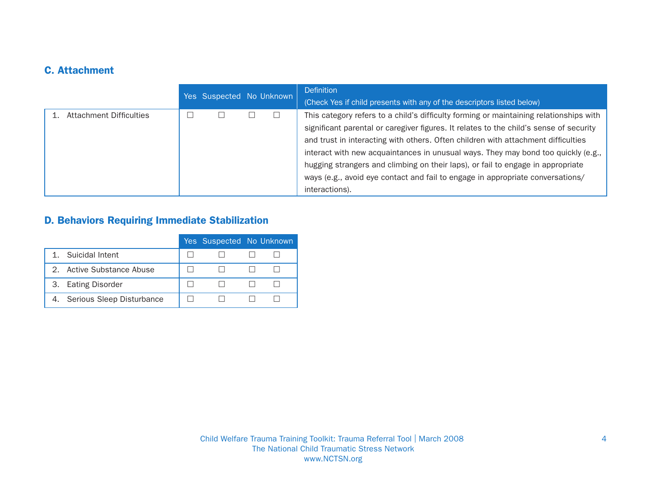## C. Attachment

|                         | Yes Suspected No Unknown |  | <b>Definition</b>                                                                      |
|-------------------------|--------------------------|--|----------------------------------------------------------------------------------------|
|                         |                          |  | (Check Yes if child presents with any of the descriptors listed below)                 |
| Attachment Difficulties |                          |  | This category refers to a child's difficulty forming or maintaining relationships with |
|                         |                          |  | significant parental or caregiver figures. It relates to the child's sense of security |
|                         |                          |  | and trust in interacting with others. Often children with attachment difficulties      |
|                         |                          |  | interact with new acquaintances in unusual ways. They may bond too quickly (e.g.,      |
|                         |                          |  | hugging strangers and climbing on their laps), or fail to engage in appropriate        |
|                         |                          |  | ways (e.g., avoid eye contact and fail to engage in appropriate conversations/         |
|                         |                          |  | interactions).                                                                         |

## D. Behaviors Requiring Immediate Stabilization

|                              | Yes Suspected No Unknown |  |
|------------------------------|--------------------------|--|
| Suicidal Intent              |                          |  |
| 2. Active Substance Abuse    |                          |  |
| 3. Eating Disorder           |                          |  |
| 4. Serious Sleep Disturbance |                          |  |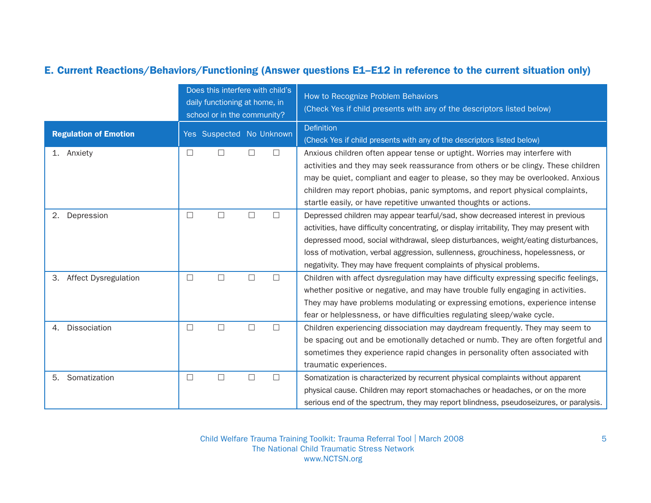## E. Current Reactions/Behaviors/Functioning (Answer questions E1–E12 in reference to the current situation only)

|                                   |        | Does this interfere with child's<br>daily functioning at home, in<br>school or in the community? |        |        | How to Recognize Problem Behaviors<br>(Check Yes if child presents with any of the descriptors listed below)                                                                                                                                                                                                                                                                                                                 |
|-----------------------------------|--------|--------------------------------------------------------------------------------------------------|--------|--------|------------------------------------------------------------------------------------------------------------------------------------------------------------------------------------------------------------------------------------------------------------------------------------------------------------------------------------------------------------------------------------------------------------------------------|
| <b>Regulation of Emotion</b>      |        | Yes Suspected No Unknown                                                                         |        |        | Definition<br>(Check Yes if child presents with any of the descriptors listed below)                                                                                                                                                                                                                                                                                                                                         |
| Anxiety<br>1.                     | $\Box$ | $\Box$                                                                                           | $\Box$ | $\Box$ | Anxious children often appear tense or uptight. Worries may interfere with<br>activities and they may seek reassurance from others or be clingy. These children<br>may be quiet, compliant and eager to please, so they may be overlooked. Anxious<br>children may report phobias, panic symptoms, and report physical complaints,<br>startle easily, or have repetitive unwanted thoughts or actions.                       |
| 2.<br>Depression                  | $\Box$ | $\Box$                                                                                           | $\Box$ | $\Box$ | Depressed children may appear tearful/sad, show decreased interest in previous<br>activities, have difficulty concentrating, or display irritability, They may present with<br>depressed mood, social withdrawal, sleep disturbances, weight/eating disturbances,<br>loss of motivation, verbal aggression, sullenness, grouchiness, hopelessness, or<br>negativity. They may have frequent complaints of physical problems. |
| <b>Affect Dysregulation</b><br>3. | П      | $\Box$                                                                                           | П      | $\Box$ | Children with affect dysregulation may have difficulty expressing specific feelings,<br>whether positive or negative, and may have trouble fully engaging in activities.<br>They may have problems modulating or expressing emotions, experience intense<br>fear or helplessness, or have difficulties regulating sleep/wake cycle.                                                                                          |
| Dissociation<br>4.                | $\Box$ | $\Box$                                                                                           | $\Box$ | $\Box$ | Children experiencing dissociation may daydream frequently. They may seem to<br>be spacing out and be emotionally detached or numb. They are often forgetful and<br>sometimes they experience rapid changes in personality often associated with<br>traumatic experiences.                                                                                                                                                   |
| Somatization<br>5.                | $\Box$ | $\Box$                                                                                           | П      | П      | Somatization is characterized by recurrent physical complaints without apparent<br>physical cause. Children may report stomachaches or headaches, or on the more<br>serious end of the spectrum, they may report blindness, pseudoseizures, or paralysis.                                                                                                                                                                    |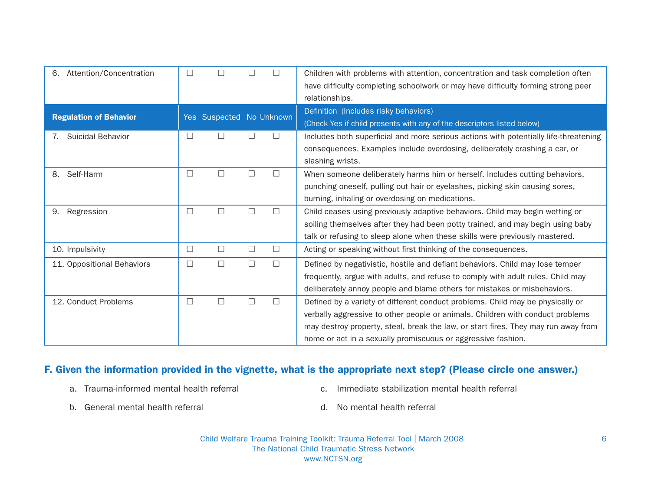| Attention/Concentration<br>6. | $\Box$ |                          |        |        | Children with problems with attention, concentration and task completion often       |
|-------------------------------|--------|--------------------------|--------|--------|--------------------------------------------------------------------------------------|
|                               |        |                          |        |        | have difficulty completing schoolwork or may have difficulty forming strong peer     |
|                               |        |                          |        |        | relationships.                                                                       |
|                               |        | Yes Suspected No Unknown |        |        | Definition (Includes risky behaviors)                                                |
| <b>Regulation of Behavior</b> |        |                          |        |        | (Check Yes if child presents with any of the descriptors listed below)               |
| Suicidal Behavior             | $\Box$ |                          |        |        | Includes both superficial and more serious actions with potentially life-threatening |
|                               |        |                          |        |        | consequences. Examples include overdosing, deliberately crashing a car, or           |
|                               |        |                          |        |        | slashing wrists.                                                                     |
| Self-Harm<br>8.               | $\Box$ |                          |        |        | When someone deliberately harms him or herself. Includes cutting behaviors,          |
|                               |        |                          |        |        | punching oneself, pulling out hair or eyelashes, picking skin causing sores,         |
|                               |        |                          |        |        | burning, inhaling or overdosing on medications.                                      |
| 9.<br>Regression              | $\Box$ |                          |        |        | Child ceases using previously adaptive behaviors. Child may begin wetting or         |
|                               |        |                          |        |        | soiling themselves after they had been potty trained, and may begin using baby       |
|                               |        |                          |        |        | talk or refusing to sleep alone when these skills were previously mastered.          |
| 10. Impulsivity               | $\Box$ | $\Box$                   | $\Box$ | $\Box$ | Acting or speaking without first thinking of the consequences.                       |
| 11. Oppositional Behaviors    | $\Box$ | П                        | $\Box$ |        | Defined by negativistic, hostile and defiant behaviors. Child may lose temper        |
|                               |        |                          |        |        | frequently, argue with adults, and refuse to comply with adult rules. Child may      |
|                               |        |                          |        |        | deliberately annoy people and blame others for mistakes or misbehaviors.             |
| 12. Conduct Problems          | $\Box$ | П                        | П      |        | Defined by a variety of different conduct problems. Child may be physically or       |
|                               |        |                          |        |        | verbally aggressive to other people or animals. Children with conduct problems       |
|                               |        |                          |        |        | may destroy property, steal, break the law, or start fires. They may run away from   |
|                               |        |                          |        |        | home or act in a sexually promiscuous or aggressive fashion.                         |

#### F. Given the information provided in the vignette, what is the appropriate next step? (Please circle one answer.)

- 
- a. Trauma-informed mental health referral c. Immediate stabilization mental health referral
- b. General mental health referral d. No mental health referral
	-

Child Welfare Trauma Training Toolkit: Trauma Referral Tool | March 2008 6 The National Child Traumatic Stress Network www.NCTSN.org